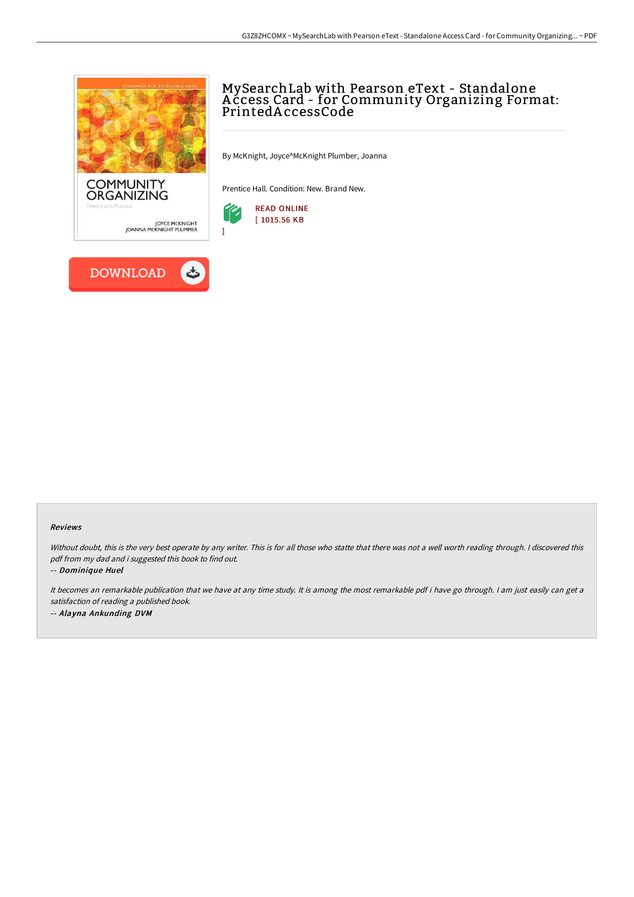

## MySearchLab with Pearson eText - Standalone A ccess Card - for Community Organizing Format: PrintedA ccessCode

By McKnight, Joyce^McKnight Plumber, Joanna

Prentice Hall. Condition: New. Brand New.



## Reviews

Without doubt, this is the very best operate by any writer. This is for all those who statte that there was not a well worth reading through. I discovered this pdf from my dad and i suggested this book to find out.

-- Dominique Huel

It becomes an remarkable publication that we have at any time study. It is among the most remarkable pdf i have go through. <sup>I</sup> am just easily can get <sup>a</sup> satisfaction of reading <sup>a</sup> published book. -- Alayna Ankunding DVM